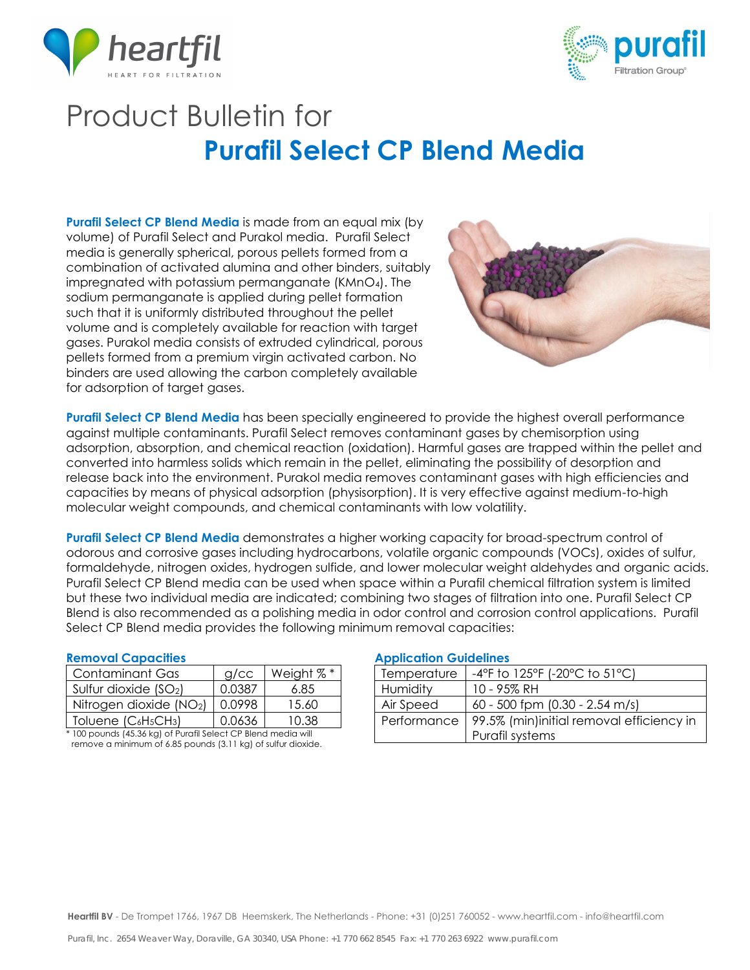



# Product Bulletin for **Purafil Select CP Blend Media**

**Purafil Select CP Blend Media** is made from an equal mix (by volume) of Purafil Select and Purakol media. Purafil Select media is generally spherical, porous pellets formed from a combination of activated alumina and other binders, suitably impregnated with potassium permanganate (KMnO4). The sodium permanganate is applied during pellet formation such that it is uniformly distributed throughout the pellet volume and is completely available for reaction with target gases. Purakol media consists of extruded cylindrical, porous pellets formed from a premium virgin activated carbon. No binders are used allowing the carbon completely available for adsorption of target gases.



**Purafil Select CP Blend Media** has been specially engineered to provide the highest overall performance against multiple contaminants. Purafil Select removes contaminant gases by chemisorption using adsorption, absorption, and chemical reaction (oxidation). Harmful gases are trapped within the pellet and converted into harmless solids which remain in the pellet, eliminating the possibility of desorption and release back into the environment. Purakol media removes contaminant gases with high efficiencies and capacities by means of physical adsorption (physisorption). It is very effective against medium-to-high molecular weight compounds, and chemical contaminants with low volatility.

**Purafil Select CP Blend Media** demonstrates a higher working capacity for broad-spectrum control of odorous and corrosive gases including hydrocarbons, volatile organic compounds (VOCs), oxides of sulfur, formaldehyde, nitrogen oxides, hydrogen sulfide, and lower molecular weight aldehydes and organic acids. Purafil Select CP Blend media can be used when space within a Purafil chemical filtration system is limited but these two individual media are indicated; combining two stages of filtration into one. Purafil Select CP Blend is also recommended as a polishing media in odor control and corrosion control applications. Purafil Select CP Blend media provides the following minimum removal capacities:

| Contaminant Gas        | $q$ / $cc$ | Weight %* |
|------------------------|------------|-----------|
| Sulfur dioxide $(SO2)$ | O 0387     | 6.85      |
| Nitrogen dioxide (NO2) | 0.0998     | 15.60     |
| Toluene $(C_6H_5CH_3)$ | 0.0636     | 10.38     |
| .<br>.<br>$\cdots$     | .          | <br>      |

100 pounds (45.36 kg) of Purafil Select CP Blend media will remove a minimum of 6.85 pounds (3.11 kg) of sulfur dioxide.

### **Removal Capacities Application Guidelines**

| Temperature | $-4^{\circ}$ F to 125 $^{\circ}$ F (-20 $^{\circ}$ C to 51 $^{\circ}$ C) |  |
|-------------|--------------------------------------------------------------------------|--|
| Humidity    | 10 - 95% RH                                                              |  |
| Air Speed   | 60 - 500 fpm (0.30 - 2.54 m/s)                                           |  |
| Performance | 99.5% (min)initial removal efficiency in                                 |  |
|             | Purafil systems                                                          |  |